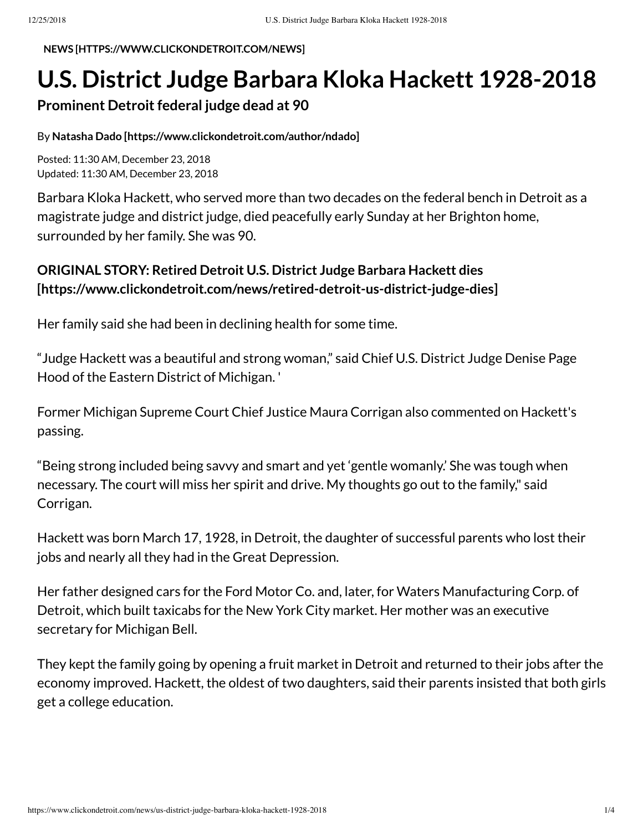**NEWS [\[HTTPS://WWW.CLICKONDETROIT.COM/NEWS\]](https://www.clickondetroit.com/news)**

## **U.S. District Judge Barbara Kloka Hackett 1928-2018**

## **Prominent Detroit federal judge dead at 90**

## By **Natasha Dado [\[https://www.clickondetroit.com/author/ndado\]](https://www.clickondetroit.com/author/ndado)**

Posted: 11:30 AM, December 23, 2018 Updated: 11:30 AM, December 23, 2018

Barbara Kloka Hackett, who served more than two decades on the federal bench in Detroit as a magistrate judge and district judge, died peacefully early Sunday at her Brighton home, surrounded by her family. She was 90.

## **ORIGINAL STORY: Retired Detroit U.S. District Judge Barbara Hackett dies [\[https://www.clickondetroit.com/news/retired-detroit-us-district-judge-dies\]](https://www.clickondetroit.com/news/retired-detroit-us-district-judge-dies)**

Her family said she had been in declining health for some time.

"Judge Hackett was a beautiful and strong woman," said Chief U.S. District Judge Denise Page Hood of the Eastern District of Michigan. '

Former Michigan Supreme Court Chief Justice Maura Corrigan also commented on Hackett's passing.

"Being strong included being savvy and smart and yet 'gentle womanly.' She was tough when necessary. The court will miss her spirit and drive. My thoughts go out to the family," said Corrigan.

Hackett was born March 17, 1928, in Detroit, the daughter of successful parents who lost their jobs and nearly all they had in the Great Depression.

Her father designed cars for the Ford Motor Co. and, later, for Waters Manufacturing Corp. of Detroit, which built taxicabs for the New York City market. Her mother was an executive secretary for Michigan Bell.

They kept the family going by opening a fruit market in Detroit and returned to their jobs after the economy improved. Hackett, the oldest of two daughters, said their parents insisted that both girls get a college education.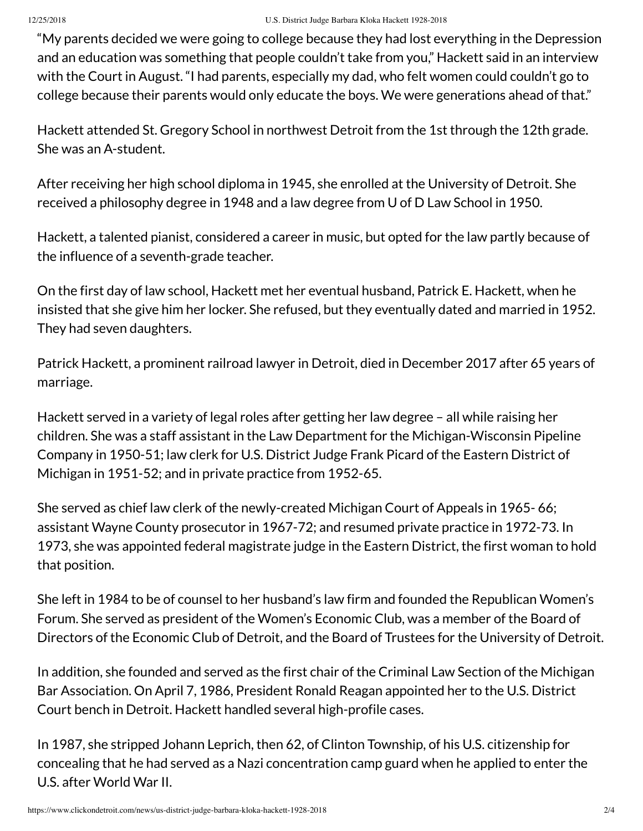"My parents decided we were going to college because they had lost everything in the Depression and an education was something that people couldn't take from you," Hackett said in an interview with the Court in August. "I had parents, especially my dad, who felt women could couldn't go to college because their parents would only educate the boys. We were generations ahead of that."

Hackett attended St. Gregory School in northwest Detroit from the 1st through the 12th grade. She was an A-student.

After receiving her high school diploma in 1945, she enrolled at the University of Detroit. She received a philosophy degree in 1948 and a law degree from U of D Law School in 1950.

Hackett, a talented pianist, considered a career in music, but opted for the law partly because of the influence of a seventh-grade teacher.

On the first day of law school, Hackett met her eventual husband, Patrick E. Hackett, when he insisted that she give him her locker. She refused, but they eventually dated and married in 1952. They had seven daughters.

Patrick Hackett, a prominent railroad lawyer in Detroit, died in December 2017 after 65 years of marriage.

Hackett served in a variety of legal roles after getting her law degree – all while raising her children. She was a staff assistant in the Law Department for the Michigan-Wisconsin Pipeline Company in 1950-51; law clerk for U.S. District Judge Frank Picard of the Eastern District of Michigan in 1951-52; and in private practice from 1952-65.

She served as chief law clerk of the newly-created Michigan Court of Appeals in 1965- 66; assistant Wayne County prosecutor in 1967-72; and resumed private practice in 1972-73. In 1973, she was appointed federal magistrate judge in the Eastern District, the first woman to hold that position.

She left in 1984 to be of counsel to her husband's law firm and founded the Republican Women's Forum. She served as president of the Women's Economic Club, was a member of the Board of Directors of the Economic Club of Detroit, and the Board of Trustees for the University of Detroit.

In addition, she founded and served as the first chair of the Criminal Law Section of the Michigan Bar Association. On April 7, 1986, President Ronald Reagan appointed her to the U.S. District Court bench in Detroit. Hackett handled several high-profile cases.

In 1987, she stripped Johann Leprich, then 62, of Clinton Township, of his U.S. citizenship for concealing that he had served as a Nazi concentration camp guard when he applied to enter the U.S. after World War II.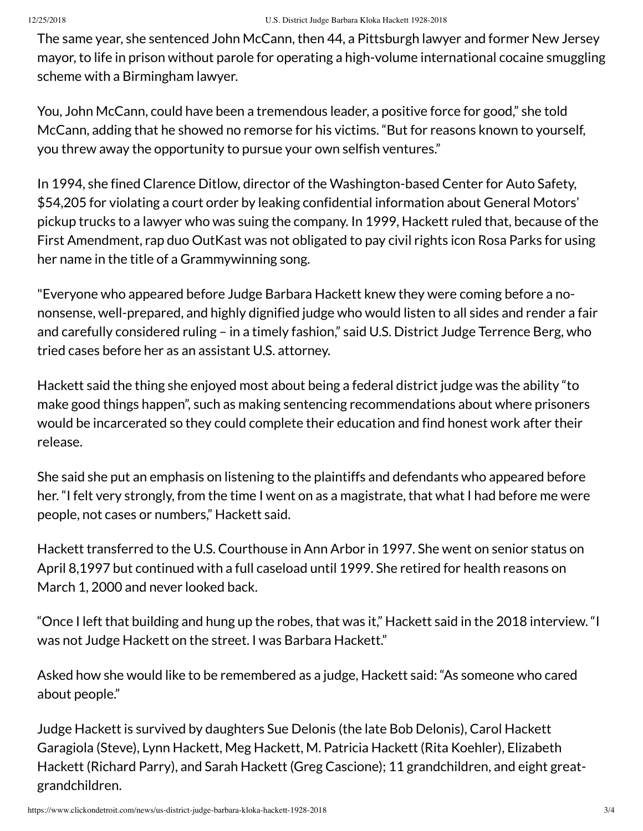The same year, she sentenced John McCann, then 44, a Pittsburgh lawyer and former New Jersey mayor, to life in prison without parole for operating a high-volume international cocaine smuggling scheme with a Birmingham lawyer.

You, John McCann, could have been a tremendous leader, a positive force for good," she told McCann, adding that he showed no remorse for his victims. "But for reasons known to yourself, you threw away the opportunity to pursue your own selfish ventures."

In 1994, she fined Clarence Ditlow, director of the Washington-based Center for Auto Safety, \$54,205 for violating a court order by leaking confidential information about General Motors' pickup trucks to a lawyer who was suing the company. In 1999, Hackett ruled that, because of the First Amendment, rap duo OutKast was not obligated to pay civil rights icon Rosa Parks for using her name in the title of a Grammywinning song.

"Everyone who appeared before Judge Barbara Hackett knew they were coming before a nononsense, well-prepared, and highly dignified judge who would listen to all sides and render a fair and carefully considered ruling – in a timely fashion," said U.S. District Judge Terrence Berg, who tried cases before her as an assistant U.S. attorney.

Hackett said the thing she enjoyed most about being a federal district judge was the ability "to make good things happen", such as making sentencing recommendations about where prisoners would be incarcerated so they could complete their education and find honest work after their release.

She said she put an emphasis on listening to the plaintiffs and defendants who appeared before her. "I felt very strongly, from the time I went on as a magistrate, that what I had before me were people, not cases or numbers," Hackett said.

Hackett transferred to the U.S. Courthouse in Ann Arbor in 1997. She went on senior status on April 8,1997 but continued with a full caseload until 1999. She retired for health reasons on March 1, 2000 and never looked back.

"Once I left that building and hung up the robes, that was it," Hackett said in the 2018 interview. "I was not Judge Hackett on the street. I was Barbara Hackett."

Asked how she would like to be remembered as a judge, Hackett said: "As someone who cared about people."

Judge Hackett is survived by daughters Sue Delonis (the late Bob Delonis), Carol Hackett Garagiola (Steve), Lynn Hackett, Meg Hackett, M. Patricia Hackett (Rita Koehler), Elizabeth Hackett (Richard Parry), and Sarah Hackett (Greg Cascione); 11 grandchildren, and eight greatgrandchildren.